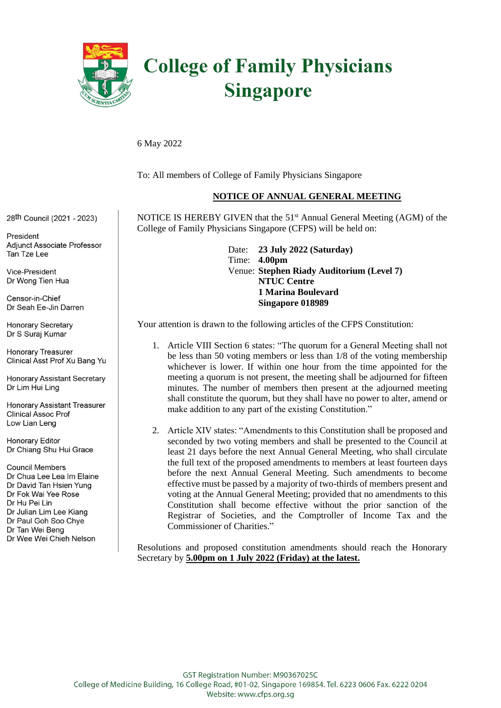

# **College of Family Physicians Singapore**

#### 6 May 2022

To: All members of College of Family Physicians Singapore

College of Family Physicians Singapore (CFPS) will be held on:

### **NOTICE OF ANNUAL GENERAL MEETING**

NOTICE IS HEREBY GIVEN that the 51<sup>st</sup> Annual General Meeting (AGM) of the

**Singapore 018989**

28th Council (2021 - 2023)

President Adjunct Associate Professor Tan Tze Lee

Vice-President Dr Wong Tien Hua

Censor-in-Chief Dr Seah Ee-Jin Darren

Honorary Secretary Dr S Suraj Kumar

**Honorary Treasurer** Clinical Asst Prof Xu Bang Yu

**Honorary Assistant Secretary** Dr Lim Hui Ling

**Honorary Assistant Treasurer Clinical Assoc Prof** Low Lian Leng

**Honorary Editor** Dr Chiang Shu Hui Grace

**Council Members** Dr Chua Lee Lea Im Elaine Dr David Tan Hsien Yung Dr Fok Wai Yee Rose Dr Hu Pei Lin Dr Julian Lim Lee Kiang Dr Paul Goh Soo Chye Dr Tan Wei Beng Dr Wee Wei Chieh Nelson

Date: **23 July 2022 (Saturday)** Time: **4.00pm** Venue: **Stephen Riady Auditorium (Level 7) NTUC Centre 1 Marina Boulevard**

Your attention is drawn to the following articles of the CFPS Constitution:

- 1. Article VIII Section 6 states: "The quorum for a General Meeting shall not be less than 50 voting members or less than 1/8 of the voting membership whichever is lower. If within one hour from the time appointed for the meeting a quorum is not present, the meeting shall be adjourned for fifteen minutes. The number of members then present at the adjourned meeting shall constitute the quorum, but they shall have no power to alter, amend or make addition to any part of the existing Constitution."
- 2. Article XIV states: "Amendments to this Constitution shall be proposed and seconded by two voting members and shall be presented to the Council at least 21 days before the next Annual General Meeting, who shall circulate the full text of the proposed amendments to members at least fourteen days before the next Annual General Meeting. Such amendments to become effective must be passed by a majority of two-thirds of members present and voting at the Annual General Meeting; provided that no amendments to this Constitution shall become effective without the prior sanction of the Registrar of Societies, and the Comptroller of Income Tax and the Commissioner of Charities."

Resolutions and proposed constitution amendments should reach the Honorary Secretary by **5.00pm on 1 July 2022 (Friday) at the latest.**